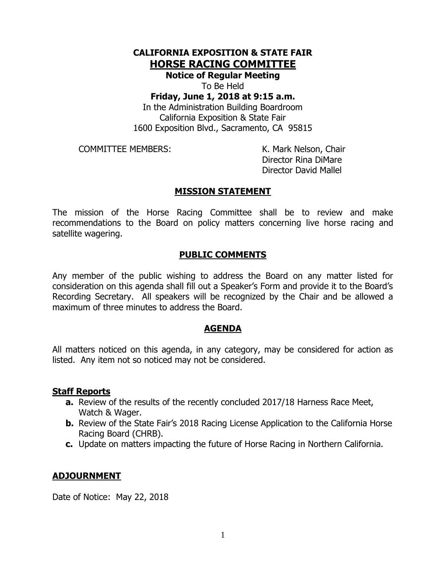# **CALIFORNIA EXPOSITION & STATE FAIR HORSE RACING COMMITTEE**

**Notice of Regular Meeting** To Be Held

## **Friday, June 1, 2018 at 9:15 a.m.**

In the Administration Building Boardroom California Exposition & State Fair 1600 Exposition Blvd., Sacramento, CA 95815

COMMITTEE MEMBERS: K. Mark Nelson, Chair

Director Rina DiMare Director David Mallel

## **MISSION STATEMENT**

The mission of the Horse Racing Committee shall be to review and make recommendations to the Board on policy matters concerning live horse racing and satellite wagering.

## **PUBLIC COMMENTS**

Any member of the public wishing to address the Board on any matter listed for consideration on this agenda shall fill out a Speaker's Form and provide it to the Board's Recording Secretary. All speakers will be recognized by the Chair and be allowed a maximum of three minutes to address the Board.

### **AGENDA**

All matters noticed on this agenda, in any category, may be considered for action as listed. Any item not so noticed may not be considered.

### **Staff Reports**

- **a.** Review of the results of the recently concluded 2017/18 Harness Race Meet, Watch & Wager.
- **b.** Review of the State Fair's 2018 Racing License Application to the California Horse Racing Board (CHRB).
- **c.** Update on matters impacting the future of Horse Racing in Northern California.

### **ADJOURNMENT**

Date of Notice: May 22, 2018